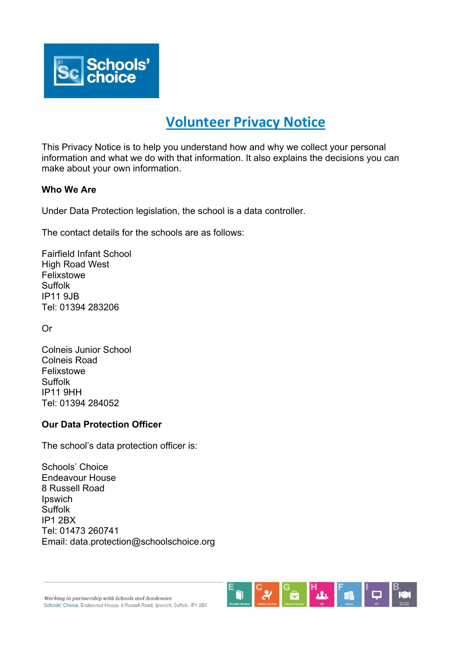

# **Volunteer Privacy Notice**

This Privacy Notice is to help you understand how and why we collect your personal information and what we do with that information. It also explains the decisions you can make about your own information.

#### **Who We Are**

Under Data Protection legislation, the school is a data controller.

The contact details for the schools are as follows:

Fairfield Infant School High Road West Felixstowe Suffolk IP11 9JB Tel: 01394 283206

Or

Colneis Junior School Colneis Road Felixstowe Suffolk IP11 9HH Tel: 01394 284052

#### **Our Data Protection Officer**

The school's data protection officer is:

Schools' Choice Endeavour House 8 Russell Road Ipswich Suffolk IP1 2BX Tel: 01473 260741 Email: data.protection@schoolschoice.org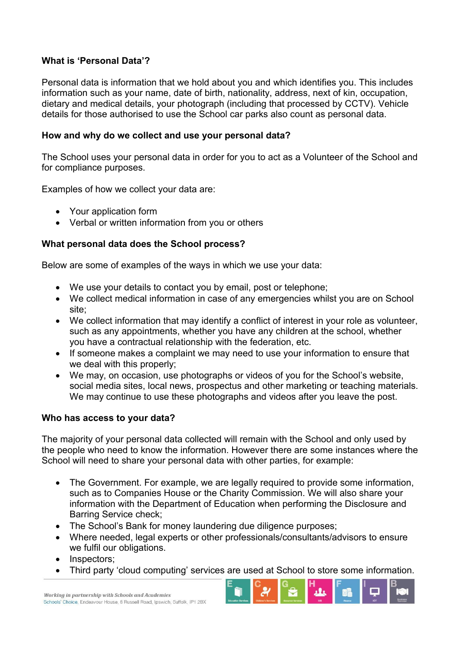#### **What is 'Personal Data'?**

Personal data is information that we hold about you and which identifies you. This includes information such as your name, date of birth, nationality, address, next of kin, occupation, dietary and medical details, your photograph (including that processed by CCTV). Vehicle details for those authorised to use the School car parks also count as personal data.

### **How and why do we collect and use your personal data?**

The School uses your personal data in order for you to act as a Volunteer of the School and for compliance purposes.

Examples of how we collect your data are:

- Your application form
- Verbal or written information from you or others

# **What personal data does the School process?**

Below are some of examples of the ways in which we use your data:

- We use your details to contact you by email, post or telephone;
- We collect medical information in case of any emergencies whilst you are on School site;
- We collect information that may identify a conflict of interest in your role as volunteer, such as any appointments, whether you have any children at the school, whether you have a contractual relationship with the federation, etc.
- If someone makes a complaint we may need to use your information to ensure that we deal with this properly;
- We may, on occasion, use photographs or videos of you for the School's website, social media sites, local news, prospectus and other marketing or teaching materials. We may continue to use these photographs and videos after you leave the post.

#### **Who has access to your data?**

The majority of your personal data collected will remain with the School and only used by the people who need to know the information. However there are some instances where the School will need to share your personal data with other parties, for example:

- The Government. For example, we are legally required to provide some information, such as to Companies House or the Charity Commission. We will also share your information with the Department of Education when performing the Disclosure and Barring Service check;
- The School's Bank for money laundering due diligence purposes;
- ∑ Where needed, legal experts or other professionals/consultants/advisors to ensure we fulfil our obligations.
- Inspectors;
- ∑ Third party 'cloud computing' services are used at School to store some information.

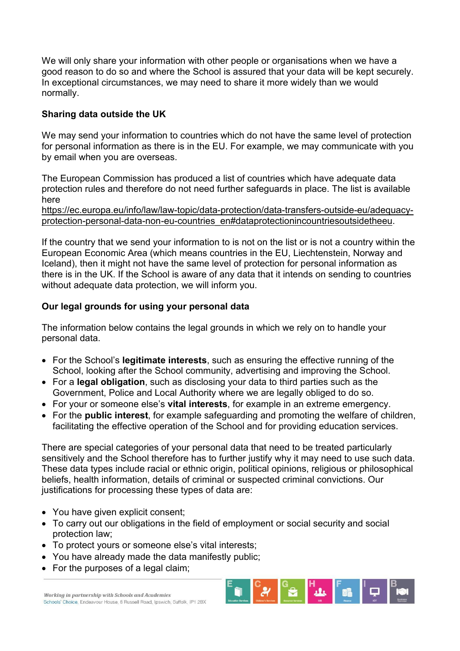We will only share your information with other people or organisations when we have a good reason to do so and where the School is assured that your data will be kept securely. In exceptional circumstances, we may need to share it more widely than we would normally.

#### **Sharing data outside the UK**

We may send your information to countries which do not have the same level of protection for personal information as there is in the EU. For example, we may communicate with you by email when you are overseas.

The European Commission has produced a list of countries which have adequate data protection rules and therefore do not need further safeguards in place. The list is available here

[https://ec.europa.eu/info/law/law-topic/data-protection/data-transfers-outside-eu/adequacy](https://ec.europa.eu/info/law/law-topic/data-protection/data-transfers-outside-eu/adequacy-protection-personal-data-non-eu-countries_en#dataprotectionincountriesoutsidetheeu)[protection-personal-data-non-eu-countries\\_en#dataprotectionincountriesoutsidetheeu.](https://ec.europa.eu/info/law/law-topic/data-protection/data-transfers-outside-eu/adequacy-protection-personal-data-non-eu-countries_en#dataprotectionincountriesoutsidetheeu)

If the country that we send your information to is not on the list or is not a country within the European Economic Area (which means countries in the EU, Liechtenstein, Norway and Iceland), then it might not have the same level of protection for personal information as there is in the UK. If the School is aware of any data that it intends on sending to countries without adequate data protection, we will inform you.

# **Our legal grounds for using your personal data**

The information below contains the legal grounds in which we rely on to handle your personal data.

- ∑ For the School's **legitimate interests**, such as ensuring the effective running of the School, looking after the School community, advertising and improving the School.
- ∑ For a **legal obligation**, such as disclosing your data to third parties such as the Government, Police and Local Authority where we are legally obliged to do so.
- ∑ For your or someone else's **vital interests**, for example in an extreme emergency.
- ∑ For the **public interest**, for example safeguarding and promoting the welfare of children, facilitating the effective operation of the School and for providing education services.

There are special categories of your personal data that need to be treated particularly sensitively and the School therefore has to further justify why it may need to use such data. These data types include racial or ethnic origin, political opinions, religious or philosophical beliefs, health information, details of criminal or suspected criminal convictions. Our justifications for processing these types of data are:

- You have given explicit consent;
- To carry out our obligations in the field of employment or social security and social protection law;
- ∑ To protect yours or someone else's vital interests;
- You have already made the data manifestly public;
- ∑ For the purposes of a legal claim;